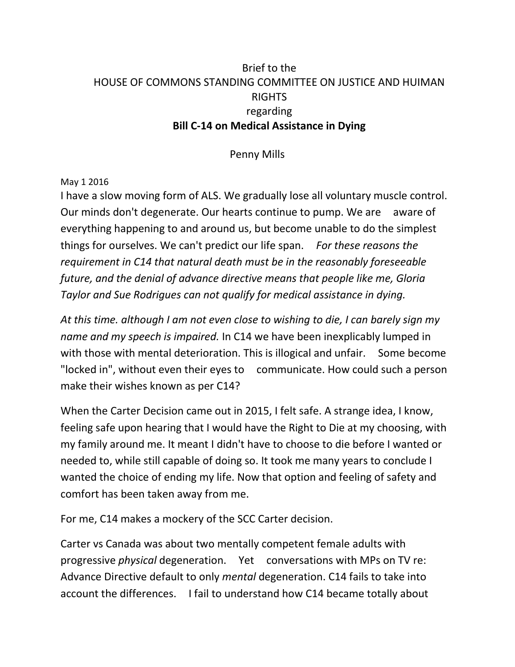## Brief to the HOUSE OF COMMONS STANDING COMMITTEE ON JUSTICE AND HUIMAN RIGHTS regarding **Bill C-14 on Medical Assistance in Dying**

Penny Mills

## May 1 2016

I have a slow moving form of ALS. We gradually lose all voluntary muscle control. Our minds don't degenerate. Our hearts continue to pump. We are aware of everything happening to and around us, but become unable to do the simplest things for ourselves. We can't predict our life span. *For these reasons the requirement in C14 that natural death must be in the reasonably foreseeable future, and the denial of advance directive means that people like me, Gloria Taylor and Sue Rodrigues can not qualify for medical assistance in dying.* 

*At this time. although I am not even close to wishing to die, I can barely sign my name and my speech is impaired.* In C14 we have been inexplicably lumped in with those with mental deterioration. This is illogical and unfair. Some become "locked in", without even their eyes to communicate. How could such a person make their wishes known as per C14?

When the Carter Decision came out in 2015, I felt safe. A strange idea, I know, feeling safe upon hearing that I would have the Right to Die at my choosing, with my family around me. It meant I didn't have to choose to die before I wanted or needed to, while still capable of doing so. It took me many years to conclude I wanted the choice of ending my life. Now that option and feeling of safety and comfort has been taken away from me.

For me, C14 makes a mockery of the SCC Carter decision.

Carter vs Canada was about two mentally competent female adults with progressive *physical* degeneration. Yet conversations with MPs on TV re: Advance Directive default to only *mental* degeneration. C14 fails to take into account the differences. I fail to understand how C14 became totally about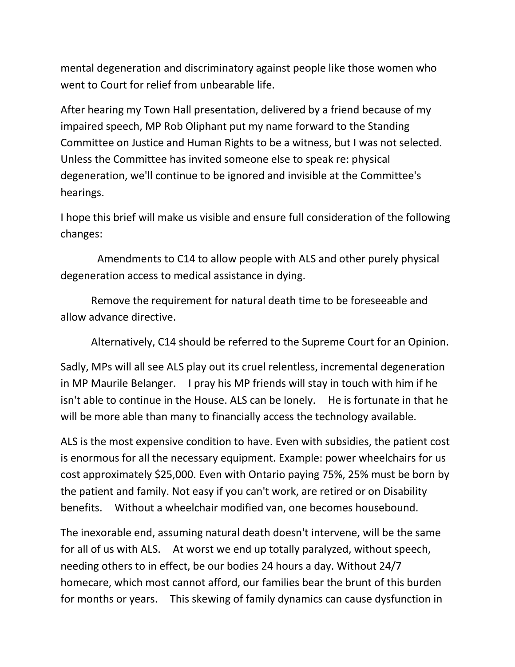mental degeneration and discriminatory against people like those women who went to Court for relief from unbearable life.

After hearing my Town Hall presentation, delivered by a friend because of my impaired speech, MP Rob Oliphant put my name forward to the Standing Committee on Justice and Human Rights to be a witness, but I was not selected. Unless the Committee has invited someone else to speak re: physical degeneration, we'll continue to be ignored and invisible at the Committee's hearings.

I hope this brief will make us visible and ensure full consideration of the following changes:

 Amendments to C14 to allow people with ALS and other purely physical degeneration access to medical assistance in dying.

 Remove the requirement for natural death time to be foreseeable and allow advance directive.

Alternatively, C14 should be referred to the Supreme Court for an Opinion.

Sadly, MPs will all see ALS play out its cruel relentless, incremental degeneration in MP Maurile Belanger. I pray his MP friends will stay in touch with him if he isn't able to continue in the House. ALS can be lonely. He is fortunate in that he will be more able than many to financially access the technology available.

ALS is the most expensive condition to have. Even with subsidies, the patient cost is enormous for all the necessary equipment. Example: power wheelchairs for us cost approximately \$25,000. Even with Ontario paying 75%, 25% must be born by the patient and family. Not easy if you can't work, are retired or on Disability benefits. Without a wheelchair modified van, one becomes housebound.

The inexorable end, assuming natural death doesn't intervene, will be the same for all of us with ALS. At worst we end up totally paralyzed, without speech, needing others to in effect, be our bodies 24 hours a day. Without 24/7 homecare, which most cannot afford, our families bear the brunt of this burden for months or years. This skewing of family dynamics can cause dysfunction in